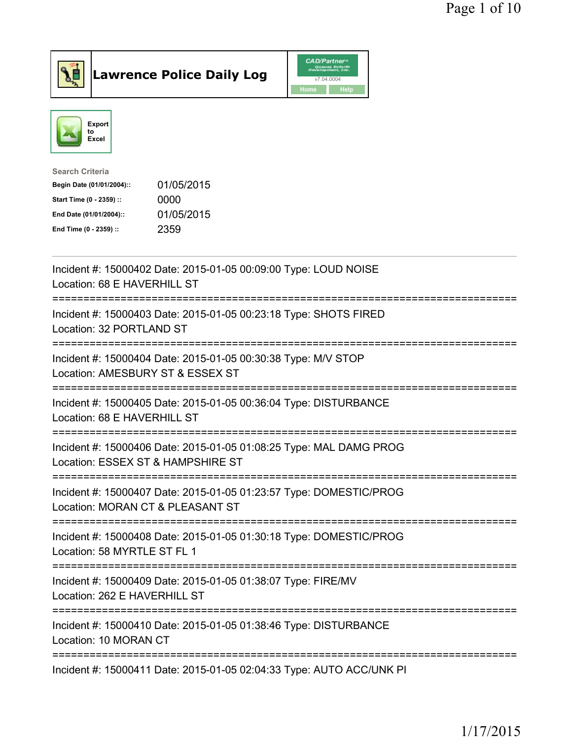



| Search Criteria           |            |
|---------------------------|------------|
| Begin Date (01/01/2004):: | 01/05/2015 |
| Start Time (0 - 2359) ::  | 0000       |
| End Date (01/01/2004)::   | 01/05/2015 |
| End Time (0 - 2359) ::    | 2359       |
|                           |            |

| Incident #: 15000402 Date: 2015-01-05 00:09:00 Type: LOUD NOISE<br>Location: 68 E HAVERHILL ST          |
|---------------------------------------------------------------------------------------------------------|
| Incident #: 15000403 Date: 2015-01-05 00:23:18 Type: SHOTS FIRED<br>Location: 32 PORTLAND ST            |
| Incident #: 15000404 Date: 2015-01-05 00:30:38 Type: M/V STOP<br>Location: AMESBURY ST & ESSEX ST       |
| Incident #: 15000405 Date: 2015-01-05 00:36:04 Type: DISTURBANCE<br>Location: 68 E HAVERHILL ST         |
| Incident #: 15000406 Date: 2015-01-05 01:08:25 Type: MAL DAMG PROG<br>Location: ESSEX ST & HAMPSHIRE ST |
| Incident #: 15000407 Date: 2015-01-05 01:23:57 Type: DOMESTIC/PROG<br>Location: MORAN CT & PLEASANT ST  |
| Incident #: 15000408 Date: 2015-01-05 01:30:18 Type: DOMESTIC/PROG<br>Location: 58 MYRTLE ST FL 1       |
| Incident #: 15000409 Date: 2015-01-05 01:38:07 Type: FIRE/MV<br>Location: 262 E HAVERHILL ST            |
| Incident #: 15000410 Date: 2015-01-05 01:38:46 Type: DISTURBANCE<br>Location: 10 MORAN CT               |
| Incident #: 15000411 Date: 2015-01-05 02:04:33 Type: AUTO ACC/UNK PI                                    |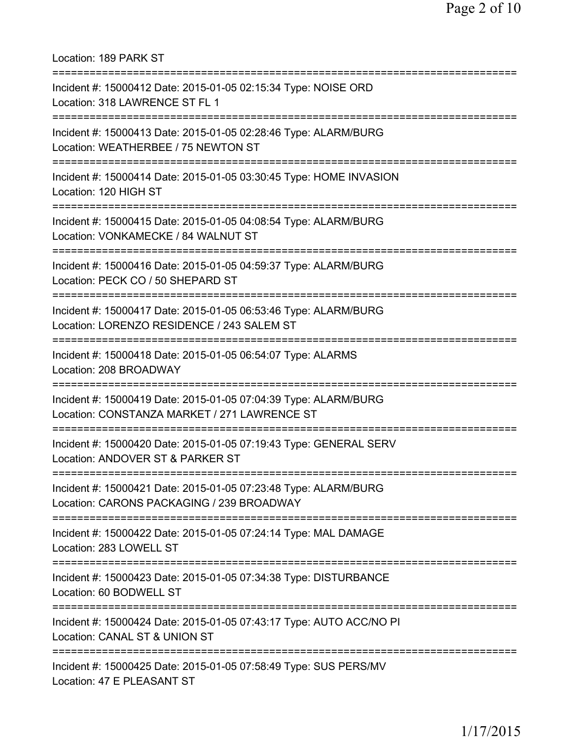Location: 189 PARK ST =========================================================================== Incident #: 15000412 Date: 2015-01-05 02:15:34 Type: NOISE ORD Location: 318 LAWRENCE ST FL 1 =========================================================================== Incident #: 15000413 Date: 2015-01-05 02:28:46 Type: ALARM/BURG Location: WEATHERBEE / 75 NEWTON ST =========================================================================== Incident #: 15000414 Date: 2015-01-05 03:30:45 Type: HOME INVASION Location: 120 HIGH ST =========================================================================== Incident #: 15000415 Date: 2015-01-05 04:08:54 Type: ALARM/BURG Location: VONKAMECKE / 84 WALNUT ST =========================================================================== Incident #: 15000416 Date: 2015-01-05 04:59:37 Type: ALARM/BURG Location: PECK CO / 50 SHEPARD ST =========================================================================== Incident #: 15000417 Date: 2015-01-05 06:53:46 Type: ALARM/BURG Location: LORENZO RESIDENCE / 243 SALEM ST =========================================================================== Incident #: 15000418 Date: 2015-01-05 06:54:07 Type: ALARMS Location: 208 BROADWAY =========================================================================== Incident #: 15000419 Date: 2015-01-05 07:04:39 Type: ALARM/BURG Location: CONSTANZA MARKET / 271 LAWRENCE ST =========================================================================== Incident #: 15000420 Date: 2015-01-05 07:19:43 Type: GENERAL SERV Location: ANDOVER ST & PARKER ST =========================================================================== Incident #: 15000421 Date: 2015-01-05 07:23:48 Type: ALARM/BURG Location: CARONS PACKAGING / 239 BROADWAY =========================================================================== Incident #: 15000422 Date: 2015-01-05 07:24:14 Type: MAL DAMAGE Location: 283 LOWELL ST =========================================================================== Incident #: 15000423 Date: 2015-01-05 07:34:38 Type: DISTURBANCE Location: 60 BODWELL ST =========================================================================== Incident #: 15000424 Date: 2015-01-05 07:43:17 Type: AUTO ACC/NO PI Location: CANAL ST & UNION ST =========================================================================== Incident #: 15000425 Date: 2015-01-05 07:58:49 Type: SUS PERS/MV Location: 47 E PLEASANT ST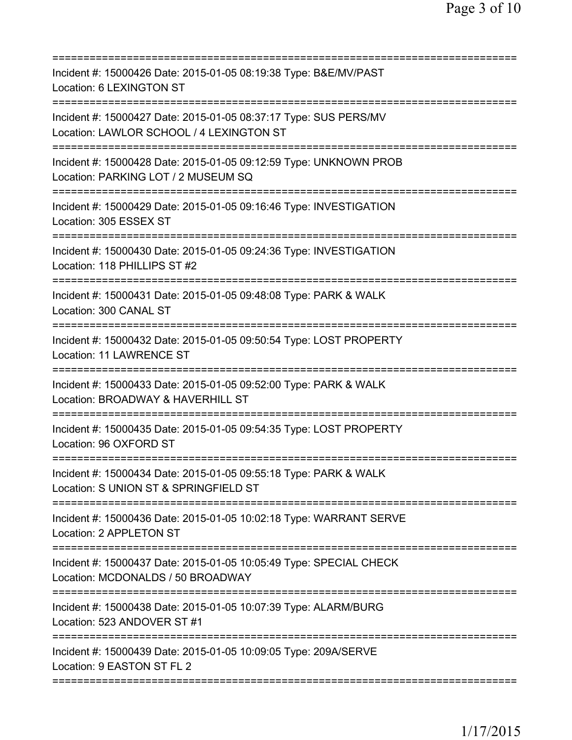| Incident #: 15000426 Date: 2015-01-05 08:19:38 Type: B&E/MV/PAST<br>Location: 6 LEXINGTON ST                                                                                    |
|---------------------------------------------------------------------------------------------------------------------------------------------------------------------------------|
| Incident #: 15000427 Date: 2015-01-05 08:37:17 Type: SUS PERS/MV<br>Location: LAWLOR SCHOOL / 4 LEXINGTON ST                                                                    |
| Incident #: 15000428 Date: 2015-01-05 09:12:59 Type: UNKNOWN PROB<br>Location: PARKING LOT / 2 MUSEUM SQ                                                                        |
| Incident #: 15000429 Date: 2015-01-05 09:16:46 Type: INVESTIGATION<br>Location: 305 ESSEX ST                                                                                    |
| Incident #: 15000430 Date: 2015-01-05 09:24:36 Type: INVESTIGATION<br>Location: 118 PHILLIPS ST #2                                                                              |
| Incident #: 15000431 Date: 2015-01-05 09:48:08 Type: PARK & WALK<br>Location: 300 CANAL ST                                                                                      |
| ==================================<br>Incident #: 15000432 Date: 2015-01-05 09:50:54 Type: LOST PROPERTY<br><b>Location: 11 LAWRENCE ST</b><br>================================ |
| Incident #: 15000433 Date: 2015-01-05 09:52:00 Type: PARK & WALK<br>Location: BROADWAY & HAVERHILL ST                                                                           |
| Incident #: 15000435 Date: 2015-01-05 09:54:35 Type: LOST PROPERTY<br>Location: 96 OXFORD ST                                                                                    |
| Incident #: 15000434 Date: 2015-01-05 09:55:18 Type: PARK & WALK<br>Location: S UNION ST & SPRINGFIELD ST                                                                       |
| Incident #: 15000436 Date: 2015-01-05 10:02:18 Type: WARRANT SERVE<br>Location: 2 APPLETON ST                                                                                   |
| Incident #: 15000437 Date: 2015-01-05 10:05:49 Type: SPECIAL CHECK<br>Location: MCDONALDS / 50 BROADWAY                                                                         |
| Incident #: 15000438 Date: 2015-01-05 10:07:39 Type: ALARM/BURG<br>Location: 523 ANDOVER ST #1                                                                                  |
| Incident #: 15000439 Date: 2015-01-05 10:09:05 Type: 209A/SERVE<br>Location: 9 EASTON ST FL 2                                                                                   |
|                                                                                                                                                                                 |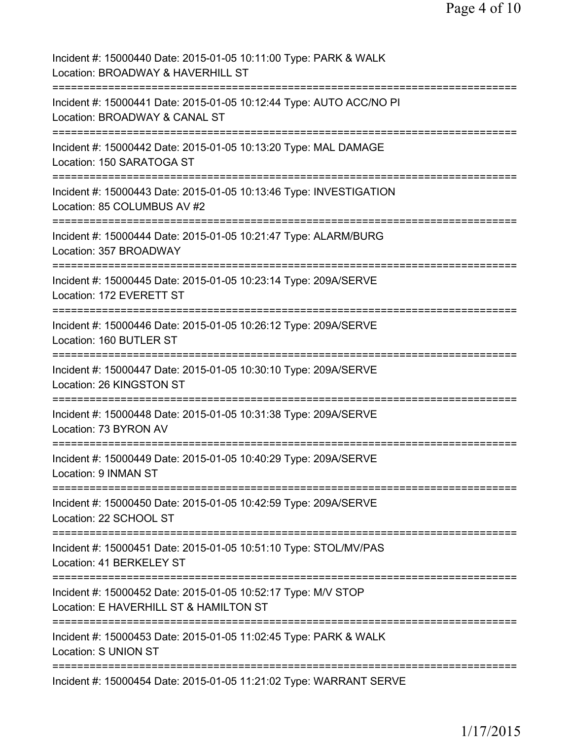| Incident #: 15000440 Date: 2015-01-05 10:11:00 Type: PARK & WALK<br>Location: BROADWAY & HAVERHILL ST                           |
|---------------------------------------------------------------------------------------------------------------------------------|
| Incident #: 15000441 Date: 2015-01-05 10:12:44 Type: AUTO ACC/NO PI<br>Location: BROADWAY & CANAL ST                            |
| Incident #: 15000442 Date: 2015-01-05 10:13:20 Type: MAL DAMAGE<br>Location: 150 SARATOGA ST                                    |
| Incident #: 15000443 Date: 2015-01-05 10:13:46 Type: INVESTIGATION<br>Location: 85 COLUMBUS AV #2                               |
| Incident #: 15000444 Date: 2015-01-05 10:21:47 Type: ALARM/BURG<br>Location: 357 BROADWAY<br>=================================  |
| Incident #: 15000445 Date: 2015-01-05 10:23:14 Type: 209A/SERVE<br>Location: 172 EVERETT ST<br>=============================    |
| Incident #: 15000446 Date: 2015-01-05 10:26:12 Type: 209A/SERVE<br>Location: 160 BUTLER ST<br>================================= |
| Incident #: 15000447 Date: 2015-01-05 10:30:10 Type: 209A/SERVE<br>Location: 26 KINGSTON ST                                     |
| ==============<br>Incident #: 15000448 Date: 2015-01-05 10:31:38 Type: 209A/SERVE<br>Location: 73 BYRON AV                      |
| Incident #: 15000449 Date: 2015-01-05 10:40:29 Type: 209A/SERVE<br>Location: 9 INMAN ST                                         |
| Incident #: 15000450 Date: 2015-01-05 10:42:59 Type: 209A/SERVE<br>Location: 22 SCHOOL ST                                       |
| Incident #: 15000451 Date: 2015-01-05 10:51:10 Type: STOL/MV/PAS<br>Location: 41 BERKELEY ST                                    |
| Incident #: 15000452 Date: 2015-01-05 10:52:17 Type: M/V STOP<br>Location: E HAVERHILL ST & HAMILTON ST                         |
| Incident #: 15000453 Date: 2015-01-05 11:02:45 Type: PARK & WALK<br>Location: S UNION ST                                        |
| Incident #: 15000454 Date: 2015-01-05 11:21:02 Type: WARRANT SERVE                                                              |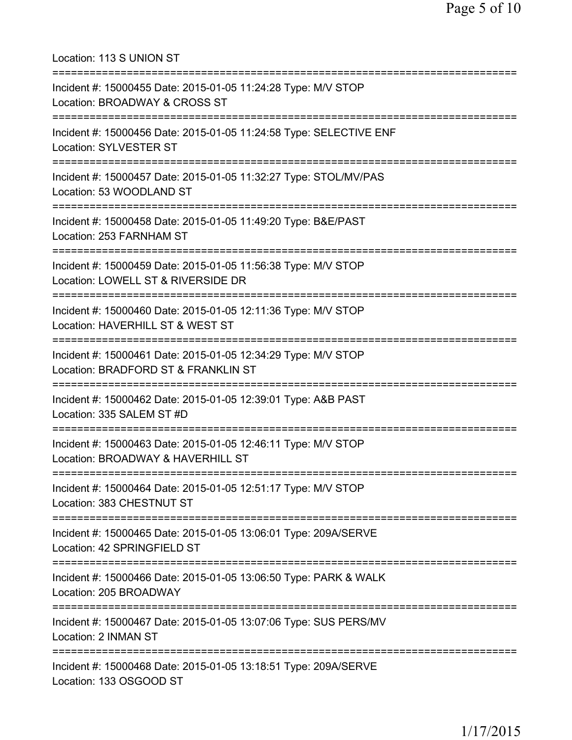Location: 113 S UNION ST =========================================================================== Incident #: 15000455 Date: 2015-01-05 11:24:28 Type: M/V STOP Location: BROADWAY & CROSS ST =========================================================================== Incident #: 15000456 Date: 2015-01-05 11:24:58 Type: SELECTIVE ENF Location: SYLVESTER ST =========================================================================== Incident #: 15000457 Date: 2015-01-05 11:32:27 Type: STOL/MV/PAS Location: 53 WOODLAND ST =========================================================================== Incident #: 15000458 Date: 2015-01-05 11:49:20 Type: B&E/PAST Location: 253 FARNHAM ST =========================================================================== Incident #: 15000459 Date: 2015-01-05 11:56:38 Type: M/V STOP Location: LOWELL ST & RIVERSIDE DR =========================================================================== Incident #: 15000460 Date: 2015-01-05 12:11:36 Type: M/V STOP Location: HAVERHILL ST & WEST ST =========================================================================== Incident #: 15000461 Date: 2015-01-05 12:34:29 Type: M/V STOP Location: BRADFORD ST & FRANKLIN ST =========================================================================== Incident #: 15000462 Date: 2015-01-05 12:39:01 Type: A&B PAST Location: 335 SALEM ST #D =========================================================================== Incident #: 15000463 Date: 2015-01-05 12:46:11 Type: M/V STOP Location: BROADWAY & HAVERHILL ST =========================================================================== Incident #: 15000464 Date: 2015-01-05 12:51:17 Type: M/V STOP Location: 383 CHESTNUT ST =========================================================================== Incident #: 15000465 Date: 2015-01-05 13:06:01 Type: 209A/SERVE Location: 42 SPRINGFIELD ST =========================================================================== Incident #: 15000466 Date: 2015-01-05 13:06:50 Type: PARK & WALK Location: 205 BROADWAY =========================================================================== Incident #: 15000467 Date: 2015-01-05 13:07:06 Type: SUS PERS/MV Location: 2 INMAN ST =========================================================================== Incident #: 15000468 Date: 2015-01-05 13:18:51 Type: 209A/SERVE Location: 133 OSGOOD ST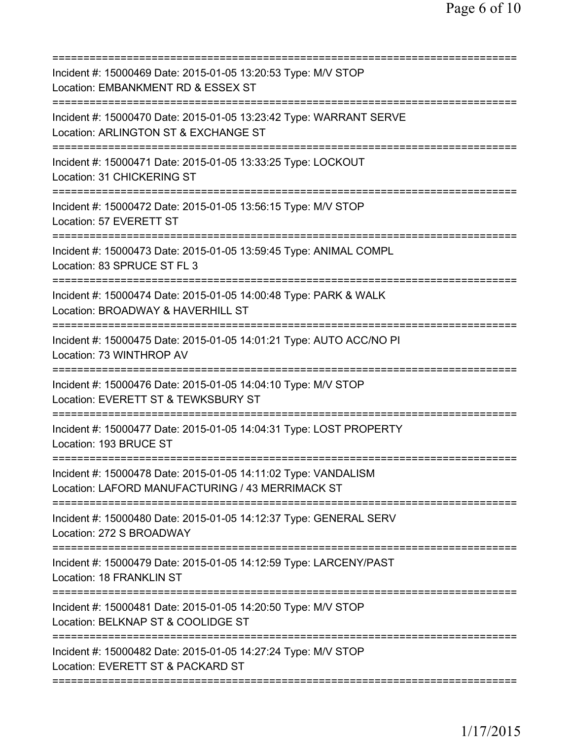| Incident #: 15000469 Date: 2015-01-05 13:20:53 Type: M/V STOP<br>Location: EMBANKMENT RD & ESSEX ST<br>=======================        |
|---------------------------------------------------------------------------------------------------------------------------------------|
| Incident #: 15000470 Date: 2015-01-05 13:23:42 Type: WARRANT SERVE<br>Location: ARLINGTON ST & EXCHANGE ST                            |
| Incident #: 15000471 Date: 2015-01-05 13:33:25 Type: LOCKOUT<br>Location: 31 CHICKERING ST                                            |
| Incident #: 15000472 Date: 2015-01-05 13:56:15 Type: M/V STOP<br>Location: 57 EVERETT ST                                              |
| Incident #: 15000473 Date: 2015-01-05 13:59:45 Type: ANIMAL COMPL<br>Location: 83 SPRUCE ST FL 3                                      |
| Incident #: 15000474 Date: 2015-01-05 14:00:48 Type: PARK & WALK<br>Location: BROADWAY & HAVERHILL ST<br>=======================      |
| Incident #: 15000475 Date: 2015-01-05 14:01:21 Type: AUTO ACC/NO PI<br>Location: 73 WINTHROP AV                                       |
| Incident #: 15000476 Date: 2015-01-05 14:04:10 Type: M/V STOP<br>Location: EVERETT ST & TEWKSBURY ST<br>===========================   |
| Incident #: 15000477 Date: 2015-01-05 14:04:31 Type: LOST PROPERTY<br>Location: 193 BRUCE ST                                          |
| Incident #: 15000478 Date: 2015-01-05 14:11:02 Type: VANDALISM<br>Location: LAFORD MANUFACTURING / 43 MERRIMACK ST                    |
| Incident #: 15000480 Date: 2015-01-05 14:12:37 Type: GENERAL SERV<br>Location: 272 S BROADWAY                                         |
| Incident #: 15000479 Date: 2015-01-05 14:12:59 Type: LARCENY/PAST<br>Location: 18 FRANKLIN ST                                         |
| Incident #: 15000481 Date: 2015-01-05 14:20:50 Type: M/V STOP<br>Location: BELKNAP ST & COOLIDGE ST                                   |
| ===============================<br>Incident #: 15000482 Date: 2015-01-05 14:27:24 Type: M/V STOP<br>Location: EVERETT ST & PACKARD ST |
|                                                                                                                                       |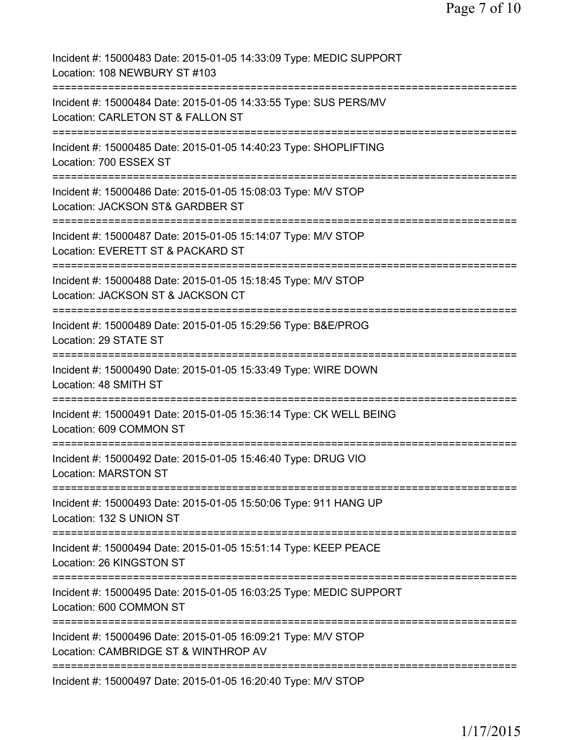| Incident #: 15000483 Date: 2015-01-05 14:33:09 Type: MEDIC SUPPORT<br>Location: 108 NEWBURY ST #103                                        |
|--------------------------------------------------------------------------------------------------------------------------------------------|
| Incident #: 15000484 Date: 2015-01-05 14:33:55 Type: SUS PERS/MV<br>Location: CARLETON ST & FALLON ST                                      |
| Incident #: 15000485 Date: 2015-01-05 14:40:23 Type: SHOPLIFTING<br>Location: 700 ESSEX ST                                                 |
| Incident #: 15000486 Date: 2015-01-05 15:08:03 Type: M/V STOP<br>Location: JACKSON ST& GARDBER ST                                          |
| Incident #: 15000487 Date: 2015-01-05 15:14:07 Type: M/V STOP<br>Location: EVERETT ST & PACKARD ST<br>=====================<br>=========== |
| Incident #: 15000488 Date: 2015-01-05 15:18:45 Type: M/V STOP<br>Location: JACKSON ST & JACKSON CT<br>:=============                       |
| Incident #: 15000489 Date: 2015-01-05 15:29:56 Type: B&E/PROG<br>Location: 29 STATE ST                                                     |
| Incident #: 15000490 Date: 2015-01-05 15:33:49 Type: WIRE DOWN<br>Location: 48 SMITH ST                                                    |
| Incident #: 15000491 Date: 2015-01-05 15:36:14 Type: CK WELL BEING<br>Location: 609 COMMON ST                                              |
| Incident #: 15000492 Date: 2015-01-05 15:46:40 Type: DRUG VIO<br><b>Location: MARSTON ST</b>                                               |
| Incident #: 15000493 Date: 2015-01-05 15:50:06 Type: 911 HANG UP<br>Location: 132 S UNION ST                                               |
| Incident #: 15000494 Date: 2015-01-05 15:51:14 Type: KEEP PEACE<br>Location: 26 KINGSTON ST                                                |
| Incident #: 15000495 Date: 2015-01-05 16:03:25 Type: MEDIC SUPPORT<br>Location: 600 COMMON ST<br>======================================    |
| Incident #: 15000496 Date: 2015-01-05 16:09:21 Type: M/V STOP<br>Location: CAMBRIDGE ST & WINTHROP AV                                      |
| Incident #: 15000497 Date: 2015-01-05 16:20:40 Type: M/V STOP                                                                              |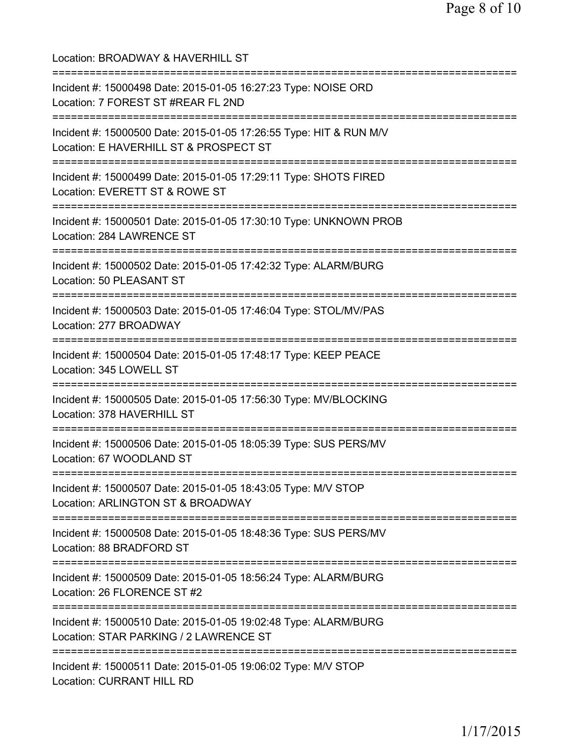| Location: BROADWAY & HAVERHILL ST<br>=======================                                                                                           |
|--------------------------------------------------------------------------------------------------------------------------------------------------------|
| Incident #: 15000498 Date: 2015-01-05 16:27:23 Type: NOISE ORD<br>Location: 7 FOREST ST #REAR FL 2ND                                                   |
| Incident #: 15000500 Date: 2015-01-05 17:26:55 Type: HIT & RUN M/V<br>Location: E HAVERHILL ST & PROSPECT ST<br>====================================== |
| Incident #: 15000499 Date: 2015-01-05 17:29:11 Type: SHOTS FIRED<br>Location: EVERETT ST & ROWE ST<br>;===============================                 |
| Incident #: 15000501 Date: 2015-01-05 17:30:10 Type: UNKNOWN PROB<br>Location: 284 LAWRENCE ST                                                         |
| Incident #: 15000502 Date: 2015-01-05 17:42:32 Type: ALARM/BURG<br>Location: 50 PLEASANT ST                                                            |
| Incident #: 15000503 Date: 2015-01-05 17:46:04 Type: STOL/MV/PAS<br>Location: 277 BROADWAY                                                             |
| Incident #: 15000504 Date: 2015-01-05 17:48:17 Type: KEEP PEACE<br>Location: 345 LOWELL ST                                                             |
| Incident #: 15000505 Date: 2015-01-05 17:56:30 Type: MV/BLOCKING<br>Location: 378 HAVERHILL ST                                                         |
| Incident #: 15000506 Date: 2015-01-05 18:05:39 Type: SUS PERS/MV<br>Location: 67 WOODLAND ST                                                           |
| Incident #: 15000507 Date: 2015-01-05 18:43:05 Type: M/V STOP<br>Location: ARLINGTON ST & BROADWAY                                                     |
| Incident #: 15000508 Date: 2015-01-05 18:48:36 Type: SUS PERS/MV<br>Location: 88 BRADFORD ST                                                           |
| Incident #: 15000509 Date: 2015-01-05 18:56:24 Type: ALARM/BURG<br>Location: 26 FLORENCE ST #2                                                         |
| =====================================<br>Incident #: 15000510 Date: 2015-01-05 19:02:48 Type: ALARM/BURG<br>Location: STAR PARKING / 2 LAWRENCE ST     |
| Incident #: 15000511 Date: 2015-01-05 19:06:02 Type: M/V STOP<br>Location: CURRANT HILL RD                                                             |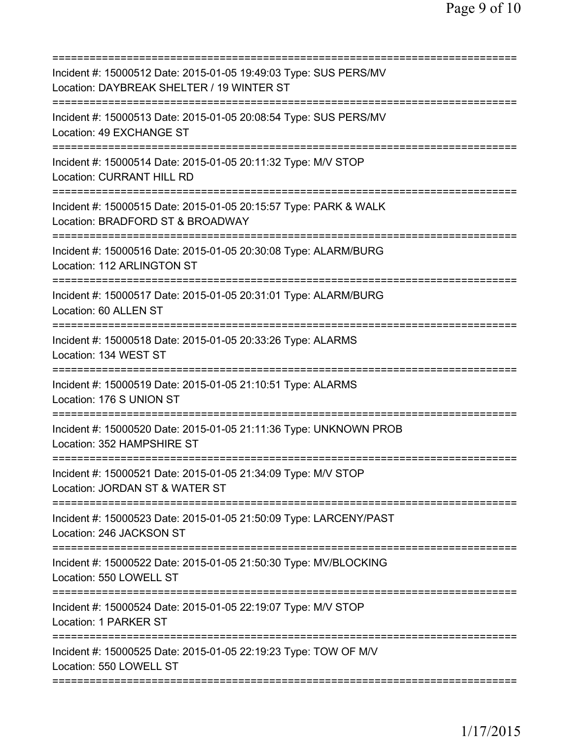| Incident #: 15000512 Date: 2015-01-05 19:49:03 Type: SUS PERS/MV<br>Location: DAYBREAK SHELTER / 19 WINTER ST                  |
|--------------------------------------------------------------------------------------------------------------------------------|
| Incident #: 15000513 Date: 2015-01-05 20:08:54 Type: SUS PERS/MV<br>Location: 49 EXCHANGE ST                                   |
| Incident #: 15000514 Date: 2015-01-05 20:11:32 Type: M/V STOP<br><b>Location: CURRANT HILL RD</b>                              |
| Incident #: 15000515 Date: 2015-01-05 20:15:57 Type: PARK & WALK<br>Location: BRADFORD ST & BROADWAY                           |
| Incident #: 15000516 Date: 2015-01-05 20:30:08 Type: ALARM/BURG<br>Location: 112 ARLINGTON ST                                  |
| :=================================<br>Incident #: 15000517 Date: 2015-01-05 20:31:01 Type: ALARM/BURG<br>Location: 60 ALLEN ST |
| <u> :=============================</u><br>Incident #: 15000518 Date: 2015-01-05 20:33:26 Type: ALARMS<br>Location: 134 WEST ST |
| Incident #: 15000519 Date: 2015-01-05 21:10:51 Type: ALARMS<br>Location: 176 S UNION ST                                        |
| Incident #: 15000520 Date: 2015-01-05 21:11:36 Type: UNKNOWN PROB<br>Location: 352 HAMPSHIRE ST                                |
| Incident #: 15000521 Date: 2015-01-05 21:34:09 Type: M/V STOP<br>Location: JORDAN ST & WATER ST                                |
| Incident #: 15000523 Date: 2015-01-05 21:50:09 Type: LARCENY/PAST<br>Location: 246 JACKSON ST                                  |
| Incident #: 15000522 Date: 2015-01-05 21:50:30 Type: MV/BLOCKING<br>Location: 550 LOWELL ST                                    |
| Incident #: 15000524 Date: 2015-01-05 22:19:07 Type: M/V STOP<br>Location: 1 PARKER ST                                         |
| Incident #: 15000525 Date: 2015-01-05 22:19:23 Type: TOW OF M/V<br>Location: 550 LOWELL ST                                     |
|                                                                                                                                |